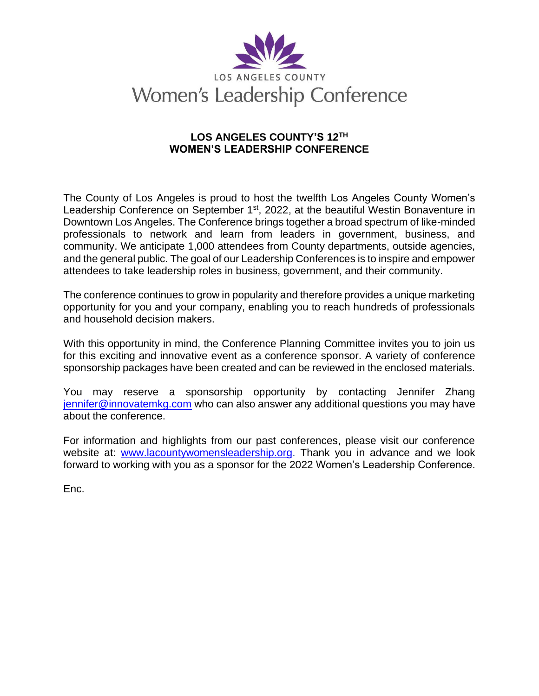

## **LOS ANGELES COUNTY'S 12TH WOMEN'S LEADERSHIP CONFERENCE**

The County of Los Angeles is proud to host the twelfth Los Angeles County Women's Leadership Conference on September 1<sup>st</sup>, 2022, at the beautiful Westin Bonaventure in Downtown Los Angeles. The Conference brings together a broad spectrum of like-minded professionals to network and learn from leaders in government, business, and community. We anticipate 1,000 attendees from County departments, outside agencies, and the general public. The goal of our Leadership Conferences is to inspire and empower attendees to take leadership roles in business, government, and their community.

The conference continues to grow in popularity and therefore provides a unique marketing opportunity for you and your company, enabling you to reach hundreds of professionals and household decision makers.

With this opportunity in mind, the Conference Planning Committee invites you to join us for this exciting and innovative event as a conference sponsor. A variety of conference sponsorship packages have been created and can be reviewed in the enclosed materials.

You may reserve a sponsorship opportunity by contacting Jennifer Zhang [jennifer@innovatemkg.com](mailto:jennifer@innovatemkg.com) who can also answer any additional questions you may have about the conference.

For information and highlights from our past conferences, please visit our conference website at: [www.lacountywomensleadership.org.](http://www.lacountywomensleadership.org/) Thank you in advance and we look forward to working with you as a sponsor for the 2022 Women's Leadership Conference.

Enc.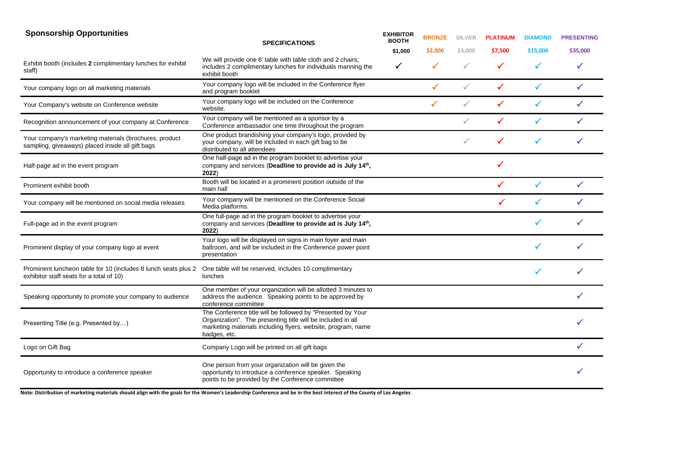| <b>Sponsorship Opportunities</b>                                                                           | <b>SPECIFICATIONS</b>                                                                                                                                                                                      | <b>EXHIBITOR</b><br><b>BOOTH</b> | <b>BRONZE</b> | <b>SILVER</b> | <b>PLATINUM</b> | <b>DIAMOND</b> | <b>PRESENTING</b> |
|------------------------------------------------------------------------------------------------------------|------------------------------------------------------------------------------------------------------------------------------------------------------------------------------------------------------------|----------------------------------|---------------|---------------|-----------------|----------------|-------------------|
|                                                                                                            |                                                                                                                                                                                                            | \$1,000                          | \$2,000       | \$3,000       | \$7,500         | \$15,000       | \$35,000          |
| Exhibit booth (includes 2 complimentary lunches for exhibit<br>staff)                                      | We will provide one 6' table with table cloth and 2 chairs;<br>includes 2 complimentary lunches for individuals manning the<br>exhibit booth                                                               | $\checkmark$                     | $\checkmark$  | $\checkmark$  | $\checkmark$    |                | √                 |
| Your company logo on all marketing materials                                                               | Your company logo will be included in the Conference flyer<br>and program booklet                                                                                                                          |                                  |               |               |                 |                |                   |
| Your Company's website on Conference website                                                               | Your company logo will be included on the Conference<br>website.                                                                                                                                           |                                  |               |               |                 |                |                   |
| Recognition announcement of your company at Conference                                                     | Your company will be mentioned as a sponsor by a<br>Conference ambassador one time throughout the program                                                                                                  |                                  |               |               |                 |                |                   |
| Your company's marketing materials (brochures, product<br>sampling, giveaways) placed inside all gift bags | One product brandishing your company's logo, provided by<br>your company, will be included in each gift bag to be<br>distributed to all attendees                                                          |                                  |               |               |                 |                |                   |
| Half-page ad in the event program                                                                          | One half-page ad in the program booklet to advertise your<br>company and services (Deadline to provide ad is July 14th,<br>2022)                                                                           |                                  |               |               |                 |                |                   |
| Prominent exhibit booth                                                                                    | Booth will be located in a prominent position outside of the<br>main hall                                                                                                                                  |                                  |               |               |                 |                |                   |
| Your company will be mentioned on social media releases                                                    | Your company will be mentioned on the Conference Social<br>Media platforms.                                                                                                                                |                                  |               |               |                 |                |                   |
| Full-page ad in the event program                                                                          | One full-page ad in the program booklet to advertise your<br>company and services (Deadline to provide ad is July 14th,<br>2022)                                                                           |                                  |               |               |                 |                |                   |
| Prominent display of your company logo at event                                                            | Your logo will be displayed on signs in main foyer and main<br>ballroom, and will be included in the Conference power point<br>presentation                                                                |                                  |               |               |                 | $\checkmark$   |                   |
| Prominent luncheon table for 10 (includes 8 lunch seats plus 2<br>exhibitor staff seats for a total of 10) | One table will be reserved, includes 10 complimentary<br>lunches                                                                                                                                           |                                  |               |               |                 |                |                   |
| Speaking opportunity to promote your company to audience                                                   | One member of your organization will be allotted 3 minutes to<br>address the audience. Speaking points to be approved by<br>conference committee                                                           |                                  |               |               |                 |                |                   |
| Presenting Title (e.g. Presented by)                                                                       | The Conference title will be followed by "Presented by Your<br>Organization". The presenting title will be included in all<br>marketing materials including flyers, website, program, name<br>badges, etc. |                                  |               |               |                 |                |                   |
| Logo on Gift Bag                                                                                           | Company Logo will be printed on all gift bags                                                                                                                                                              |                                  |               |               |                 |                |                   |
| Opportunity to introduce a conference speaker                                                              | One person from your organization will be given the<br>opportunity to introduce a conference speaker. Speaking<br>points to be provided by the Conference committee                                        |                                  |               |               |                 |                |                   |

**Note: Distribution of marketing materials should align with the goals for the Women's Leadership Conference and be in the best interest of the County of Los Angeles**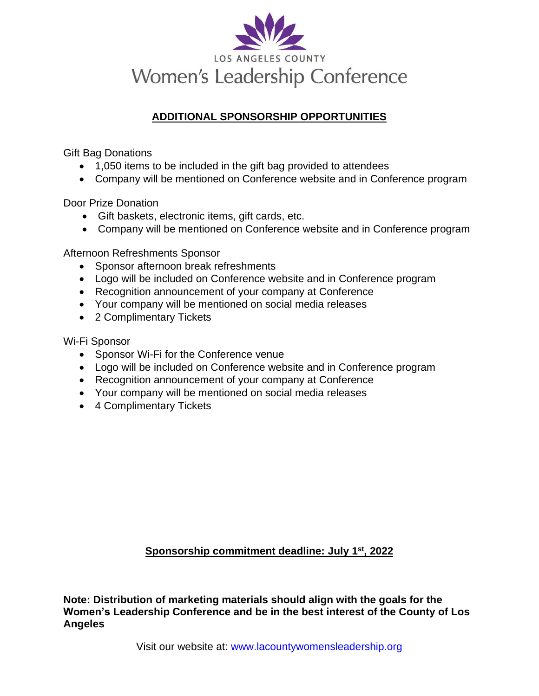

# **ADDITIONAL SPONSORSHIP OPPORTUNITIES**

Gift Bag Donations

- 1,050 items to be included in the gift bag provided to attendees
- Company will be mentioned on Conference website and in Conference program

Door Prize Donation

- Gift baskets, electronic items, gift cards, etc.
- Company will be mentioned on Conference website and in Conference program

Afternoon Refreshments Sponsor

- Sponsor afternoon break refreshments
- Logo will be included on Conference website and in Conference program
- Recognition announcement of your company at Conference
- Your company will be mentioned on social media releases
- 2 Complimentary Tickets

Wi-Fi Sponsor

- Sponsor Wi-Fi for the Conference venue
- Logo will be included on Conference website and in Conference program
- Recognition announcement of your company at Conference
- Your company will be mentioned on social media releases
- 4 Complimentary Tickets

**Sponsorship commitment deadline: July 1 st, 2022**

**Note: Distribution of marketing materials should align with the goals for the Women's Leadership Conference and be in the best interest of the County of Los Angeles**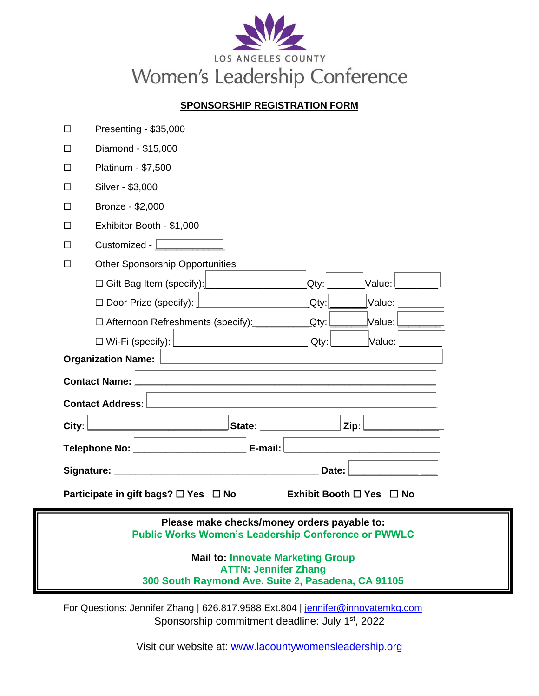

## **SPONSORSHIP REGISTRATION FORM**

|  | Presenting - \$35,000 |
|--|-----------------------|

- ☐ Diamond \$15,000
- ☐ Platinum \$7,500
- ☐ Silver \$3,000
- ☐ Bronze \$2,000
- ☐ Exhibitor Booth \$1,000
- $\Box$  Customized  $\Box$
- ☐ Other Sponsorship Opportunities

| □ Gift Bag Item (specify): <u></u>                                                                                                                                                                                             | $\mathsf{Qtv:}\mathsf{l}$ | $ Value:$ $\Box$          |
|--------------------------------------------------------------------------------------------------------------------------------------------------------------------------------------------------------------------------------|---------------------------|---------------------------|
| $\Box$ Door Prize (specify): $\Box$                                                                                                                                                                                            | $Qtv$ :                   | $\forall$ alue: $\lfloor$ |
| $Q$ ty:<br>$\Box$ Afternoon Refreshments (specify)                                                                                                                                                                             |                           |                           |
|                                                                                                                                                                                                                                | Qty:                      | $\sf{Value:}\!\!\!\perp$  |
| Organization Name:                                                                                                                                                                                                             |                           |                           |
| <b>Contact Name: I</b>                                                                                                                                                                                                         |                           |                           |
| <b>Contact Address:</b>                                                                                                                                                                                                        |                           |                           |
| <b>State:</b>                                                                                                                                                                                                                  | Zip: $\Box$               |                           |
| Telephone No: Letter Letter Letter Letter Letter Letter Letter Letter Letter Letter Letter Letter Le                                                                                                                           |                           |                           |
| Signature: Management Communications and Communications and Communications and Communications and Communications and Communications and Communications and Communications and Communications and Communications and Communicat | Date:                     |                           |

**Participate in gift bags?** ☐ **Yes** ☐ **No Exhibit Booth** ☐ **Yes** ☐ **No**

#### **Please make checks/money orders payable to: Public Works Women's Leadership Conference or PWWLC**

#### **Mail to: Innovate Marketing Group ATTN: Jennifer Zhang 300 South Raymond Ave. Suite 2, Pasadena, CA 91105**

For Questions: Jennifer Zhang | 626.817.9588 Ext.804 | [jennifer@innovatemkg.com](mailto:jennifer@innovatemkg.com) Sponsorship commitment deadline: July 1<sup>st</sup>, 2022

Visit our website at: www.lacountywomensleadership.org